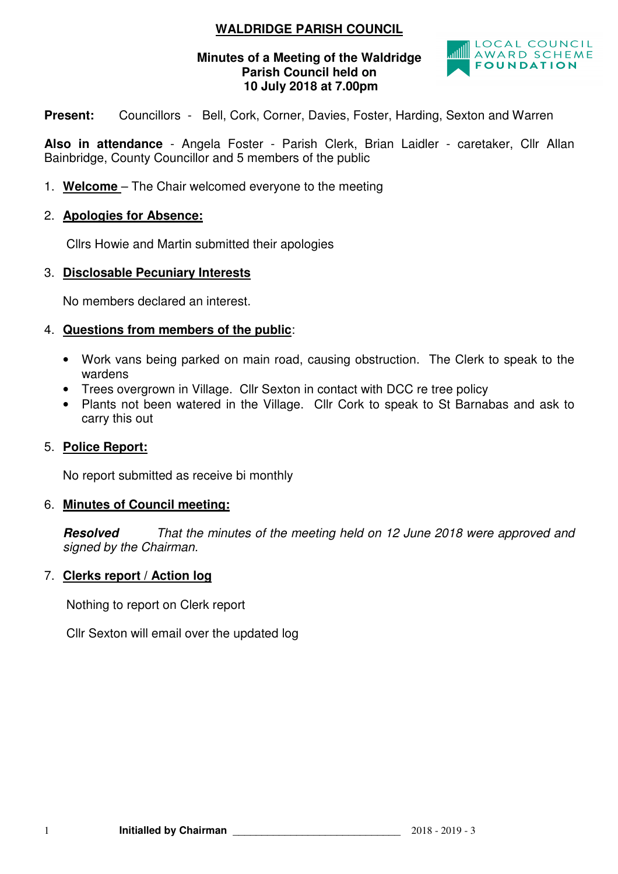# **WALDRIDGE PARISH COUNCIL**

### **Minutes of a Meeting of the Waldridge Parish Council held on 10 July 2018 at 7.00pm**



**Present:** Councillors - Bell, Cork, Corner, Davies, Foster, Harding, Sexton and Warren

**Also in attendance** - Angela Foster - Parish Clerk, Brian Laidler - caretaker, Cllr Allan Bainbridge, County Councillor and 5 members of the public

1. **Welcome** – The Chair welcomed everyone to the meeting

### 2. **Apologies for Absence:**

Cllrs Howie and Martin submitted their apologies

#### 3. **Disclosable Pecuniary Interests**

No members declared an interest.

#### 4. **Questions from members of the public**:

- Work vans being parked on main road, causing obstruction. The Clerk to speak to the wardens
- Trees overgrown in Village. Cllr Sexton in contact with DCC re tree policy
- Plants not been watered in the Village. Cllr Cork to speak to St Barnabas and ask to carry this out

### 5. **Police Report:**

No report submitted as receive bi monthly

#### 6. **Minutes of Council meeting:**

**Resolved** That the minutes of the meeting held on 12 June 2018 were approved and signed by the Chairman.

#### 7. **Clerks report / Action log**

Nothing to report on Clerk report

Cllr Sexton will email over the updated log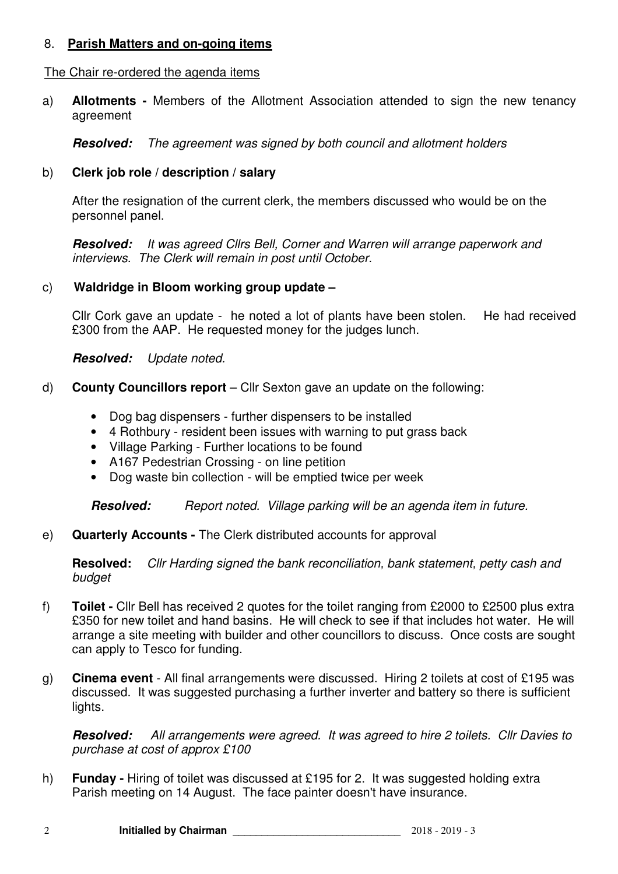## 8. **Parish Matters and on-going items**

#### The Chair re-ordered the agenda items

a) **Allotments -** Members of the Allotment Association attended to sign the new tenancy agreement

**Resolved:** The agreement was signed by both council and allotment holders

### b) **Clerk job role / description / salary**

After the resignation of the current clerk, the members discussed who would be on the personnel panel.

**Resolved:** It was agreed Cllrs Bell, Corner and Warren will arrange paperwork and interviews. The Clerk will remain in post until October.

### c) **Waldridge in Bloom working group update –**

Cllr Cork gave an update - he noted a lot of plants have been stolen. He had received £300 from the AAP. He requested money for the judges lunch.

**Resolved:** Update noted.

- d) **County Councillors report** Cllr Sexton gave an update on the following:
	- Dog bag dispensers further dispensers to be installed
	- 4 Rothbury resident been issues with warning to put grass back
	- Village Parking Further locations to be found
	- A167 Pedestrian Crossing on line petition
	- Dog waste bin collection will be emptied twice per week

**Resolved:** Report noted. Village parking will be an agenda item in future.

e) **Quarterly Accounts -** The Clerk distributed accounts for approval

**Resolved:** Cllr Harding signed the bank reconciliation, bank statement, petty cash and budget

- f) **Toilet** Cllr Bell has received 2 quotes for the toilet ranging from £2000 to £2500 plus extra £350 for new toilet and hand basins. He will check to see if that includes hot water. He will arrange a site meeting with builder and other councillors to discuss. Once costs are sought can apply to Tesco for funding.
- g) **Cinema event**  All final arrangements were discussed. Hiring 2 toilets at cost of £195 was discussed. It was suggested purchasing a further inverter and battery so there is sufficient lights.

**Resolved:** All arrangements were agreed. It was agreed to hire 2 toilets. Cllr Davies to purchase at cost of approx £100

h) **Funday -** Hiring of toilet was discussed at £195 for 2. It was suggested holding extra Parish meeting on 14 August. The face painter doesn't have insurance.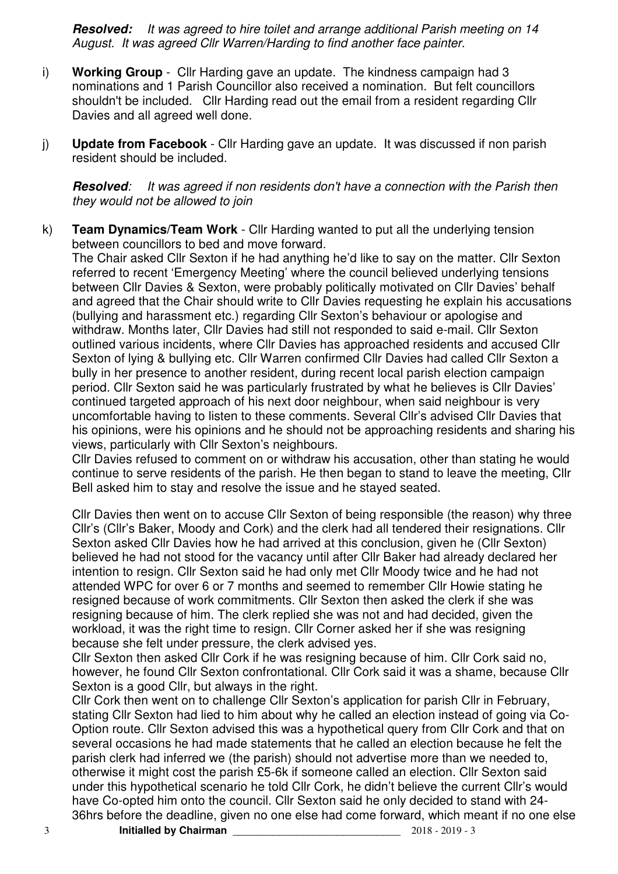**Resolved:** It was agreed to hire toilet and arrange additional Parish meeting on 14 August. It was agreed Cllr Warren/Harding to find another face painter.

- i) **Working Group** Cllr Harding gave an update. The kindness campaign had 3 nominations and 1 Parish Councillor also received a nomination. But felt councillors shouldn't be included. Cllr Harding read out the email from a resident regarding Cllr Davies and all agreed well done.
- j) **Update from Facebook**  Cllr Harding gave an update. It was discussed if non parish resident should be included.

**Resolved**: It was agreed if non residents don't have a connection with the Parish then they would not be allowed to join

k) **Team Dynamics/Team Work** - Cllr Harding wanted to put all the underlying tension between councillors to bed and move forward.

The Chair asked Cllr Sexton if he had anything he'd like to say on the matter. Cllr Sexton referred to recent 'Emergency Meeting' where the council believed underlying tensions between Cllr Davies & Sexton, were probably politically motivated on Cllr Davies' behalf and agreed that the Chair should write to Cllr Davies requesting he explain his accusations (bullying and harassment etc.) regarding Cllr Sexton's behaviour or apologise and withdraw. Months later, Cllr Davies had still not responded to said e-mail. Cllr Sexton outlined various incidents, where Cllr Davies has approached residents and accused Cllr Sexton of lying & bullying etc. Cllr Warren confirmed Cllr Davies had called Cllr Sexton a bully in her presence to another resident, during recent local parish election campaign period. Cllr Sexton said he was particularly frustrated by what he believes is Cllr Davies' continued targeted approach of his next door neighbour, when said neighbour is very uncomfortable having to listen to these comments. Several Cllr's advised Cllr Davies that his opinions, were his opinions and he should not be approaching residents and sharing his views, particularly with Cllr Sexton's neighbours.

Cllr Davies refused to comment on or withdraw his accusation, other than stating he would continue to serve residents of the parish. He then began to stand to leave the meeting, Cllr Bell asked him to stay and resolve the issue and he stayed seated.

Cllr Davies then went on to accuse Cllr Sexton of being responsible (the reason) why three Cllr's (Cllr's Baker, Moody and Cork) and the clerk had all tendered their resignations. Cllr Sexton asked Cllr Davies how he had arrived at this conclusion, given he (Cllr Sexton) believed he had not stood for the vacancy until after Cllr Baker had already declared her intention to resign. Cllr Sexton said he had only met Cllr Moody twice and he had not attended WPC for over 6 or 7 months and seemed to remember Cllr Howie stating he resigned because of work commitments. Cllr Sexton then asked the clerk if she was resigning because of him. The clerk replied she was not and had decided, given the workload, it was the right time to resign. Cllr Corner asked her if she was resigning because she felt under pressure, the clerk advised yes.

Cllr Sexton then asked Cllr Cork if he was resigning because of him. Cllr Cork said no, however, he found Cllr Sexton confrontational. Cllr Cork said it was a shame, because Cllr Sexton is a good Cllr, but always in the right.

Cllr Cork then went on to challenge Cllr Sexton's application for parish Cllr in February, stating Cllr Sexton had lied to him about why he called an election instead of going via Co-Option route. Cllr Sexton advised this was a hypothetical query from Cllr Cork and that on several occasions he had made statements that he called an election because he felt the parish clerk had inferred we (the parish) should not advertise more than we needed to, otherwise it might cost the parish £5-6k if someone called an election. Cllr Sexton said under this hypothetical scenario he told Cllr Cork, he didn't believe the current Cllr's would have Co-opted him onto the council. Cllr Sexton said he only decided to stand with 24- 36hrs before the deadline, given no one else had come forward, which meant if no one else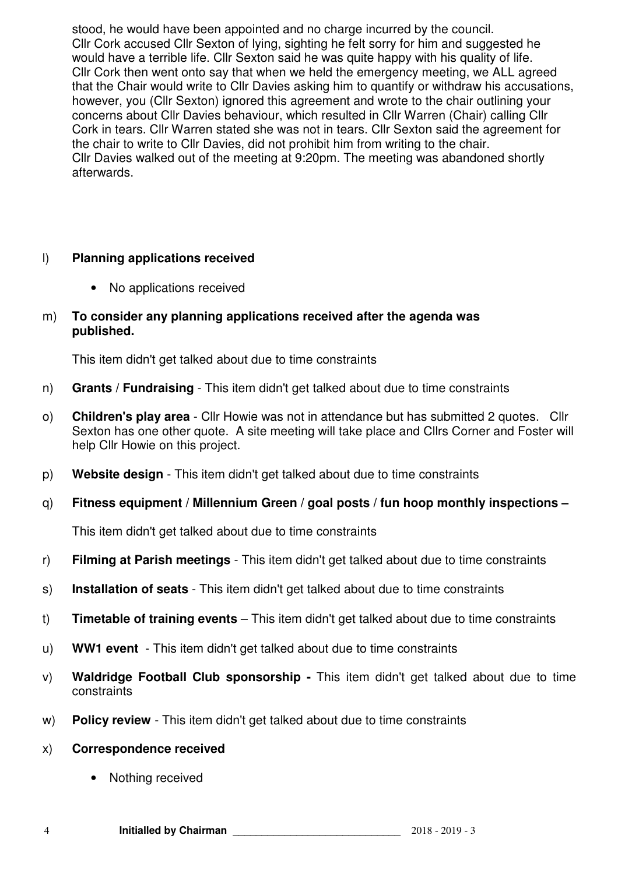stood, he would have been appointed and no charge incurred by the council. Cllr Cork accused Cllr Sexton of lying, sighting he felt sorry for him and suggested he would have a terrible life. Cllr Sexton said he was quite happy with his quality of life. Cllr Cork then went onto say that when we held the emergency meeting, we ALL agreed that the Chair would write to Cllr Davies asking him to quantify or withdraw his accusations, however, you (Cllr Sexton) ignored this agreement and wrote to the chair outlining your concerns about Cllr Davies behaviour, which resulted in Cllr Warren (Chair) calling Cllr Cork in tears. Cllr Warren stated she was not in tears. Cllr Sexton said the agreement for the chair to write to Cllr Davies, did not prohibit him from writing to the chair. Cllr Davies walked out of the meeting at 9:20pm. The meeting was abandoned shortly afterwards.

# l) **Planning applications received**

• No applications received

### m) **To consider any planning applications received after the agenda was published.**

This item didn't get talked about due to time constraints

- n) **Grants / Fundraising**  This item didn't get talked about due to time constraints
- o) **Children's play area**  Cllr Howie was not in attendance but has submitted 2 quotes. Cllr Sexton has one other quote. A site meeting will take place and Cllrs Corner and Foster will help Cllr Howie on this project.
- p) **Website design**  This item didn't get talked about due to time constraints
- q) **Fitness equipment / Millennium Green / goal posts / fun hoop monthly inspections**

This item didn't get talked about due to time constraints

- r) **Filming at Parish meetings**  This item didn't get talked about due to time constraints
- s) **Installation of seats**  This item didn't get talked about due to time constraints
- t) **Timetable of training events** This item didn't get talked about due to time constraints
- u) **WW1 event**  This item didn't get talked about due to time constraints
- v) **Waldridge Football Club sponsorship** This item didn't get talked about due to time constraints
- w) **Policy review**  This item didn't get talked about due to time constraints

### x) **Correspondence received**

• Nothing received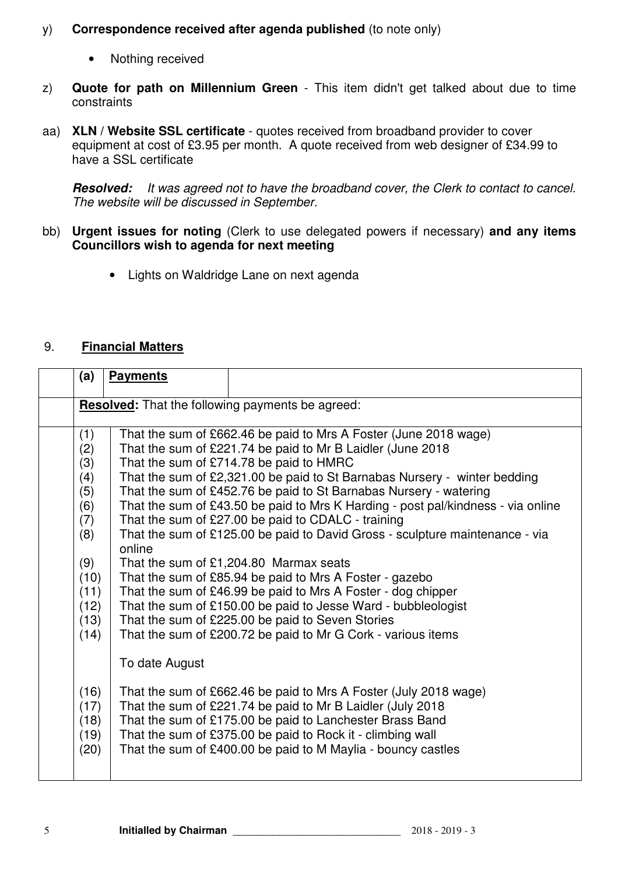# y) **Correspondence received after agenda published** (to note only)

- Nothing received
- z) **Quote for path on Millennium Green** This item didn't get talked about due to time constraints
- aa) **XLN / Website SSL certificate**  quotes received from broadband provider to cover equipment at cost of £3.95 per month. A quote received from web designer of £34.99 to have a SSL certificate

**Resolved:** It was agreed not to have the broadband cover, the Clerk to contact to cancel. The website will be discussed in September.

- bb) **Urgent issues for noting** (Clerk to use delegated powers if necessary) **and any items Councillors wish to agenda for next meeting** 
	- Lights on Waldridge Lane on next agenda

# 9. **Financial Matters**

| (a)                                                                                                 | <b>Payments</b> |                                                                                                                                                                                                                                                                                                                                                                                                                                                                                                                                                                                                                                                                                                                                                                                                                                                                                                                   |
|-----------------------------------------------------------------------------------------------------|-----------------|-------------------------------------------------------------------------------------------------------------------------------------------------------------------------------------------------------------------------------------------------------------------------------------------------------------------------------------------------------------------------------------------------------------------------------------------------------------------------------------------------------------------------------------------------------------------------------------------------------------------------------------------------------------------------------------------------------------------------------------------------------------------------------------------------------------------------------------------------------------------------------------------------------------------|
|                                                                                                     |                 | <b>Resolved:</b> That the following payments be agreed:                                                                                                                                                                                                                                                                                                                                                                                                                                                                                                                                                                                                                                                                                                                                                                                                                                                           |
| (1)<br>(2)<br>(3)<br>(4)<br>(5)<br>(6)<br>(7)<br>(8)<br>(9)<br>(10)<br>(11)<br>(12)<br>(13)<br>(14) | online          | That the sum of £662.46 be paid to Mrs A Foster (June 2018 wage)<br>That the sum of £221.74 be paid to Mr B Laidler (June 2018<br>That the sum of £714.78 be paid to HMRC<br>That the sum of £2,321.00 be paid to St Barnabas Nursery - winter bedding<br>That the sum of £452.76 be paid to St Barnabas Nursery - watering<br>That the sum of £43.50 be paid to Mrs K Harding - post pal/kindness - via online<br>That the sum of £27.00 be paid to CDALC - training<br>That the sum of £125.00 be paid to David Gross - sculpture maintenance - via<br>That the sum of $£1,204.80$ Marmax seats<br>That the sum of £85.94 be paid to Mrs A Foster - gazebo<br>That the sum of £46.99 be paid to Mrs A Foster - dog chipper<br>That the sum of £150.00 be paid to Jesse Ward - bubbleologist<br>That the sum of £225.00 be paid to Seven Stories<br>That the sum of £200.72 be paid to Mr G Cork - various items |
| (16)<br>(17)<br>(18)<br>(19)<br>(20)                                                                | To date August  | That the sum of £662.46 be paid to Mrs A Foster (July 2018 wage)<br>That the sum of £221.74 be paid to Mr B Laidler (July 2018)<br>That the sum of £175.00 be paid to Lanchester Brass Band<br>That the sum of £375.00 be paid to Rock it - climbing wall<br>That the sum of £400.00 be paid to M Maylia - bouncy castles                                                                                                                                                                                                                                                                                                                                                                                                                                                                                                                                                                                         |